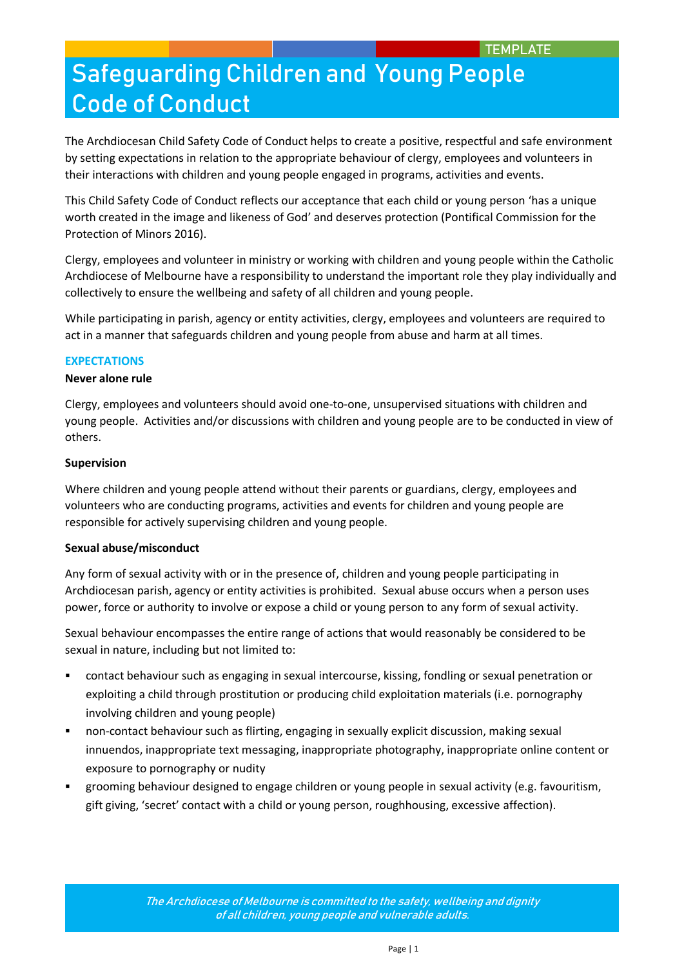The Archdiocesan Child Safety Code of Conduct helps to create a positive, respectful and safe environment by setting expectations in relation to the appropriate behaviour of clergy, employees and volunteers in their interactions with children and young people engaged in programs, activities and events.

This Child Safety Code of Conduct reflects our acceptance that each child or young person 'has a unique worth created in the image and likeness of God' and deserves protection (Pontifical Commission for the Protection of Minors 2016).

Clergy, employees and volunteer in ministry or working with children and young people within the Catholic Archdiocese of Melbourne have a responsibility to understand the important role they play individually and collectively to ensure the wellbeing and safety of all children and young people.

While participating in parish, agency or entity activities, clergy, employees and volunteers are required to act in a manner that safeguards children and young people from abuse and harm at all times.

## **EXPECTATIONS**

### **Never alone rule**

Clergy, employees and volunteers should avoid one-to-one, unsupervised situations with children and young people. Activities and/or discussions with children and young people are to be conducted in view of others.

### **Supervision**

Where children and young people attend without their parents or guardians, clergy, employees and volunteers who are conducting programs, activities and events for children and young people are responsible for actively supervising children and young people.

### **Sexual abuse/misconduct**

Any form of sexual activity with or in the presence of, children and young people participating in Archdiocesan parish, agency or entity activities is prohibited. Sexual abuse occurs when a person uses power, force or authority to involve or expose a child or young person to any form of sexual activity.

Sexual behaviour encompasses the entire range of actions that would reasonably be considered to be sexual in nature, including but not limited to:

- contact behaviour such as engaging in sexual intercourse, kissing, fondling or sexual penetration or exploiting a child through prostitution or producing child exploitation materials (i.e. pornography involving children and young people)
- non-contact behaviour such as flirting, engaging in sexually explicit discussion, making sexual innuendos, inappropriate text messaging, inappropriate photography, inappropriate online content or exposure to pornography or nudity
- grooming behaviour designed to engage children or young people in sexual activity (e.g. favouritism, gift giving, 'secret' contact with a child or young person, roughhousing, excessive affection).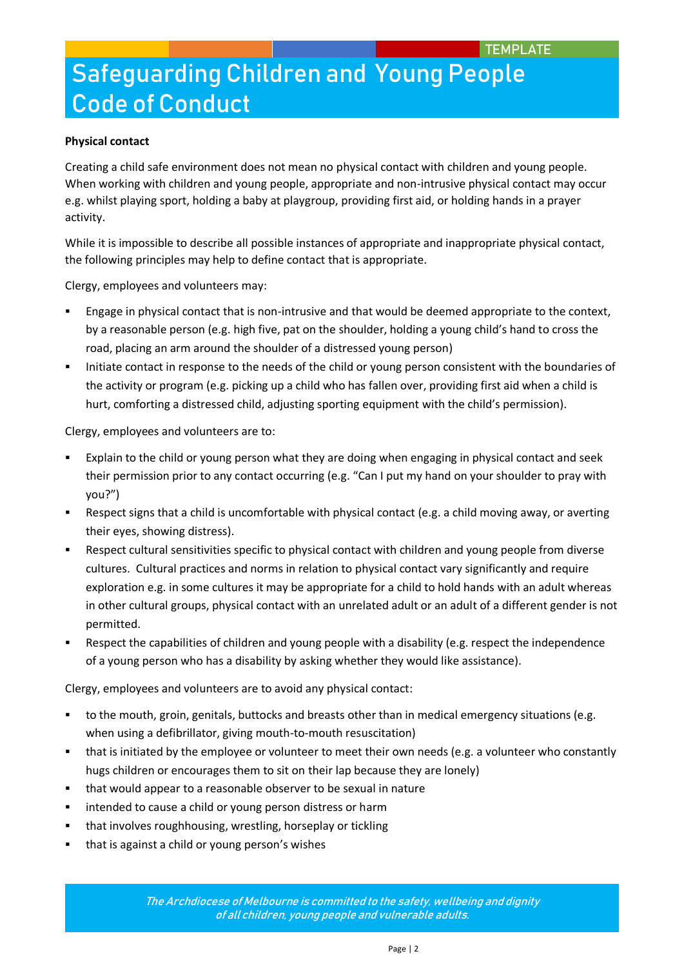## **Physical contact**

Creating a child safe environment does not mean no physical contact with children and young people. When working with children and young people, appropriate and non-intrusive physical contact may occur e.g. whilst playing sport, holding a baby at playgroup, providing first aid, or holding hands in a prayer activity.

While it is impossible to describe all possible instances of appropriate and inappropriate physical contact, the following principles may help to define contact that is appropriate.

Clergy, employees and volunteers may:

- Engage in physical contact that is non-intrusive and that would be deemed appropriate to the context, by a reasonable person (e.g. high five, pat on the shoulder, holding a young child's hand to cross the road, placing an arm around the shoulder of a distressed young person)
- Initiate contact in response to the needs of the child or young person consistent with the boundaries of the activity or program (e.g. picking up a child who has fallen over, providing first aid when a child is hurt, comforting a distressed child, adjusting sporting equipment with the child's permission).

Clergy, employees and volunteers are to:

- Explain to the child or young person what they are doing when engaging in physical contact and seek their permission prior to any contact occurring (e.g. "Can I put my hand on your shoulder to pray with you?")
- Respect signs that a child is uncomfortable with physical contact (e.g. a child moving away, or averting their eyes, showing distress).
- Respect cultural sensitivities specific to physical contact with children and young people from diverse cultures. Cultural practices and norms in relation to physical contact vary significantly and require exploration e.g. in some cultures it may be appropriate for a child to hold hands with an adult whereas in other cultural groups, physical contact with an unrelated adult or an adult of a different gender is not permitted.
- Respect the capabilities of children and young people with a disability (e.g. respect the independence of a young person who has a disability by asking whether they would like assistance).

Clergy, employees and volunteers are to avoid any physical contact:

- to the mouth, groin, genitals, buttocks and breasts other than in medical emergency situations (e.g. when using a defibrillator, giving mouth-to-mouth resuscitation)
- that is initiated by the employee or volunteer to meet their own needs (e.g. a volunteer who constantly hugs children or encourages them to sit on their lap because they are lonely)
- that would appear to a reasonable observer to be sexual in nature
- **EXECT** intended to cause a child or young person distress or harm
- **that involves roughhousing, wrestling, horseplay or tickling**
- that is against a child or young person's wishes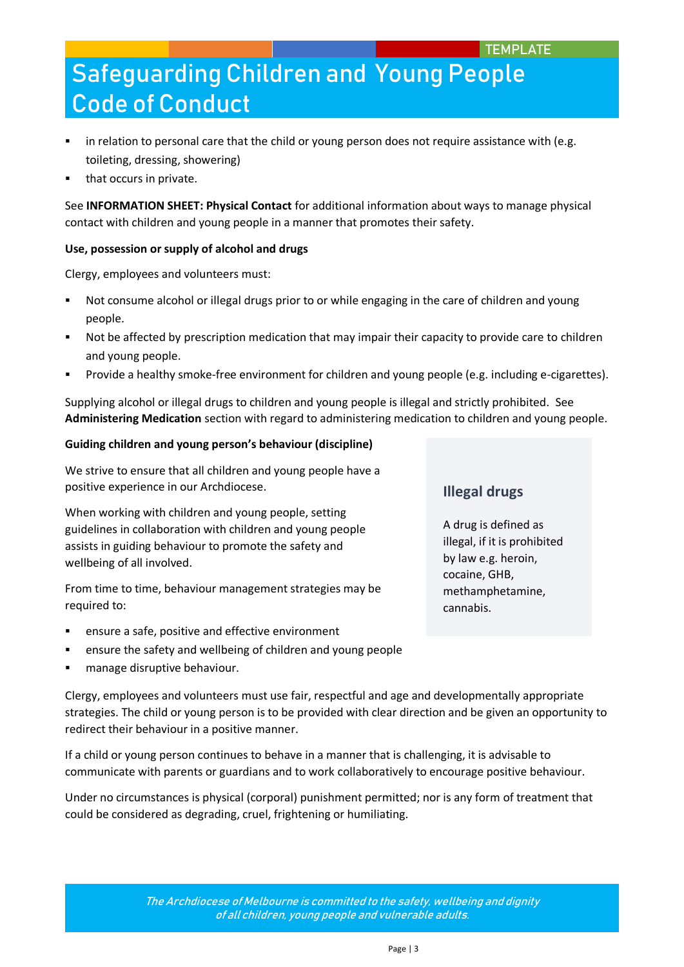- in relation to personal care that the child or young person does not require assistance with (e.g. toileting, dressing, showering)
- that occurs in private.

See **INFORMATION SHEET: Physical Contact** for additional information about ways to manage physical contact with children and young people in a manner that promotes their safety.

## **Use, possession or supply of alcohol and drugs**

Clergy, employees and volunteers must:

- Not consume alcohol or illegal drugs prior to or while engaging in the care of children and young people.
- Not be affected by prescription medication that may impair their capacity to provide care to children and young people.
- Provide a healthy smoke-free environment for children and young people (e.g. including e-cigarettes).

Supplying alcohol or illegal drugs to children and young people is illegal and strictly prohibited. See **Administering Medication** section with regard to administering medication to children and young people.

## **Guiding children and young person's behaviour (discipline)**

We strive to ensure that all children and young people have a positive experience in our Archdiocese.

When working with children and young people, setting guidelines in collaboration with children and young people assists in guiding behaviour to promote the safety and wellbeing of all involved.

From time to time, behaviour management strategies may be required to:

ensure a safe, positive and effective environment

redirect their behaviour in a positive manner.

- ensure the safety and wellbeing of children and young people
- manage disruptive behaviour.

Clergy, employees and volunteers must use fair, respectful and age and developmentally appropriate strategies. The child or young person is to be provided with clear direction and be given an opportunity to

If a child or young person continues to behave in a manner that is challenging, it is advisable to communicate with parents or guardians and to work collaboratively to encourage positive behaviour.

Under no circumstances is physical (corporal) punishment permitted; nor is any form of treatment that could be considered as degrading, cruel, frightening or humiliating.

## **Illegal drugs**

A drug is defined as illegal, if it is prohibited by law e.g. heroin, cocaine, GHB, methamphetamine, cannabis.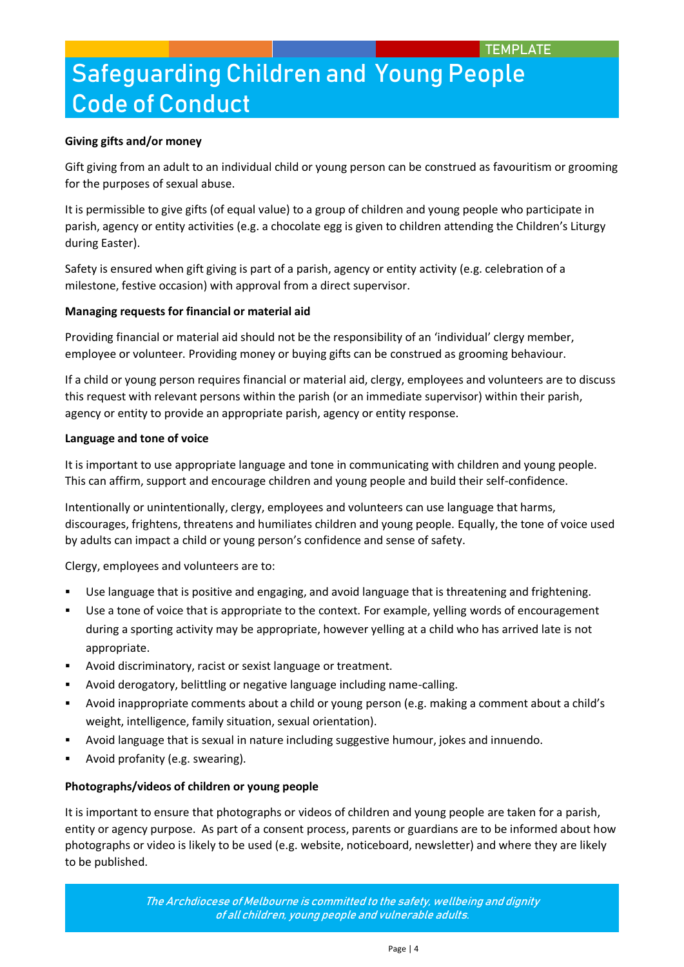## **Giving gifts and/or money**

Gift giving from an adult to an individual child or young person can be construed as favouritism or grooming for the purposes of sexual abuse.

It is permissible to give gifts (of equal value) to a group of children and young people who participate in parish, agency or entity activities (e.g. a chocolate egg is given to children attending the Children's Liturgy during Easter).

Safety is ensured when gift giving is part of a parish, agency or entity activity (e.g. celebration of a milestone, festive occasion) with approval from a direct supervisor.

### **Managing requests for financial or material aid**

Providing financial or material aid should not be the responsibility of an 'individual' clergy member, employee or volunteer. Providing money or buying gifts can be construed as grooming behaviour.

If a child or young person requires financial or material aid, clergy, employees and volunteers are to discuss this request with relevant persons within the parish (or an immediate supervisor) within their parish, agency or entity to provide an appropriate parish, agency or entity response.

### **Language and tone of voice**

It is important to use appropriate language and tone in communicating with children and young people. This can affirm, support and encourage children and young people and build their self-confidence.

Intentionally or unintentionally, clergy, employees and volunteers can use language that harms, discourages, frightens, threatens and humiliates children and young people. Equally, the tone of voice used by adults can impact a child or young person's confidence and sense of safety.

Clergy, employees and volunteers are to:

- Use language that is positive and engaging, and avoid language that is threatening and frightening.
- Use a tone of voice that is appropriate to the context. For example, yelling words of encouragement during a sporting activity may be appropriate, however yelling at a child who has arrived late is not appropriate.
- Avoid discriminatory, racist or sexist language or treatment.
- Avoid derogatory, belittling or negative language including name-calling.
- Avoid inappropriate comments about a child or young person (e.g. making a comment about a child's weight, intelligence, family situation, sexual orientation).
- Avoid language that is sexual in nature including suggestive humour, jokes and innuendo.
- Avoid profanity (e.g. swearing).

### **Photographs/videos of children or young people**

It is important to ensure that photographs or videos of children and young people are taken for a parish, entity or agency purpose. As part of a consent process, parents or guardians are to be informed about how photographs or video is likely to be used (e.g. website, noticeboard, newsletter) and where they are likely to be published.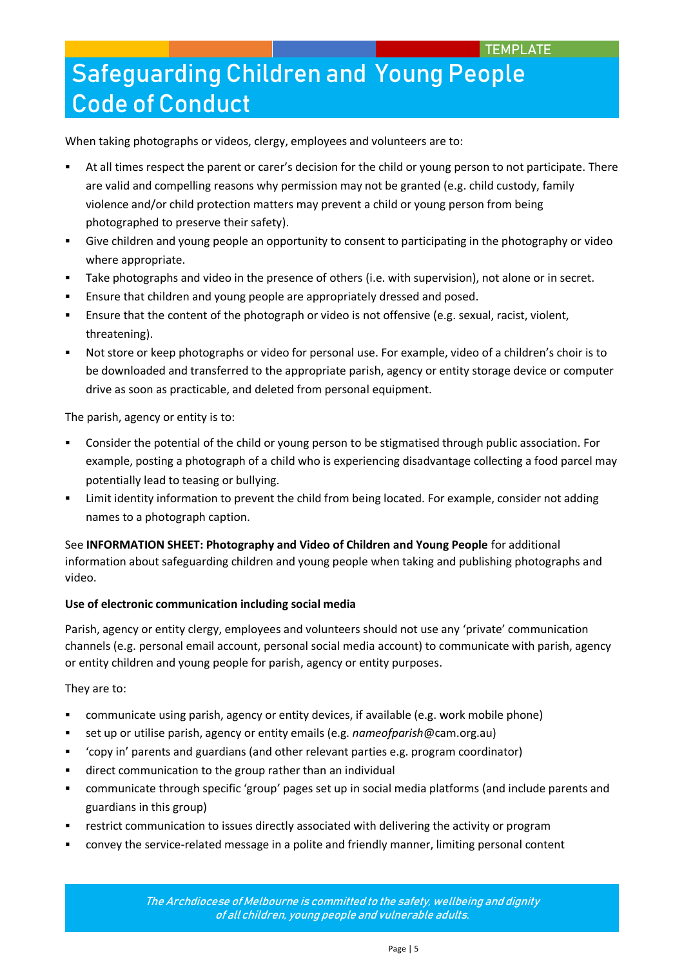When taking photographs or videos, clergy, employees and volunteers are to:

- At all times respect the parent or carer's decision for the child or young person to not participate. There are valid and compelling reasons why permission may not be granted (e.g. child custody, family violence and/or child protection matters may prevent a child or young person from being photographed to preserve their safety).
- Give children and young people an opportunity to consent to participating in the photography or video where appropriate.
- Take photographs and video in the presence of others (i.e. with supervision), not alone or in secret.
- Ensure that children and young people are appropriately dressed and posed.
- Ensure that the content of the photograph or video is not offensive (e.g. sexual, racist, violent, threatening).
- Not store or keep photographs or video for personal use. For example, video of a children's choir is to be downloaded and transferred to the appropriate parish, agency or entity storage device or computer drive as soon as practicable, and deleted from personal equipment.

The parish, agency or entity is to:

- Consider the potential of the child or young person to be stigmatised through public association. For example, posting a photograph of a child who is experiencing disadvantage collecting a food parcel may potentially lead to teasing or bullying.
- Limit identity information to prevent the child from being located. For example, consider not adding names to a photograph caption.

See **INFORMATION SHEET: Photography and Video of Children and Young People** for additional information about safeguarding children and young people when taking and publishing photographs and video.

## **Use of electronic communication including social media**

Parish, agency or entity clergy, employees and volunteers should not use any 'private' communication channels (e.g. personal email account, personal social media account) to communicate with parish, agency or entity children and young people for parish, agency or entity purposes.

They are to:

- communicate using parish, agency or entity devices, if available (e.g. work mobile phone)
- set up or utilise parish, agency or entity emails (e.g. *nameofparish*@cam.org.au)
- 'copy in' parents and guardians (and other relevant parties e.g. program coordinator)
- direct communication to the group rather than an individual
- communicate through specific 'group' pages set up in social media platforms (and include parents and guardians in this group)
- restrict communication to issues directly associated with delivering the activity or program
- convey the service-related message in a polite and friendly manner, limiting personal content